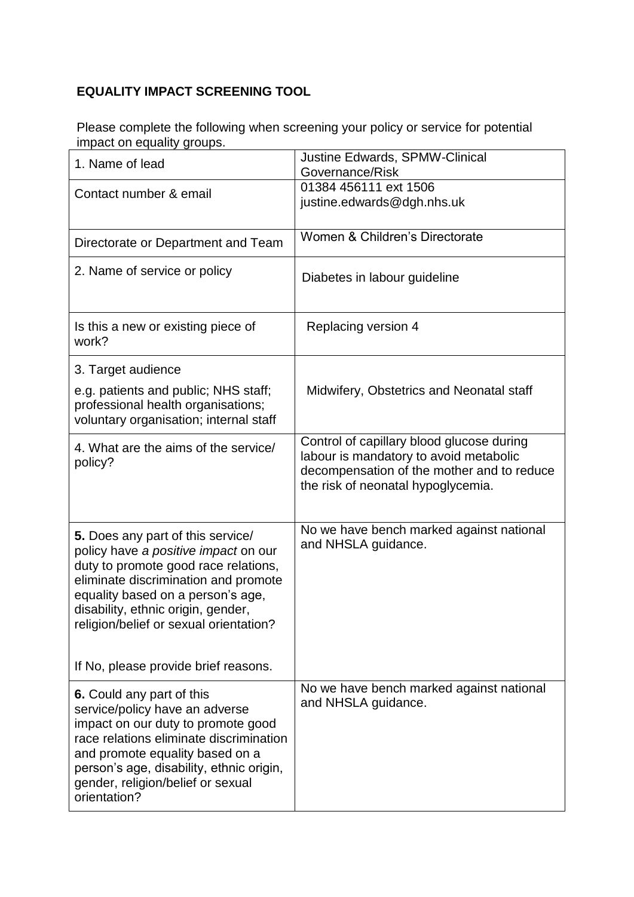## **EQUALITY IMPACT SCREENING TOOL**

Please complete the following when screening your policy or service for potential impact on equality groups.

| 1. Name of lead                                                                                                                                                                                                                                                                  | <b>Justine Edwards, SPMW-Clinical</b><br>Governance/Risk                                                                                                                |
|----------------------------------------------------------------------------------------------------------------------------------------------------------------------------------------------------------------------------------------------------------------------------------|-------------------------------------------------------------------------------------------------------------------------------------------------------------------------|
| Contact number & email                                                                                                                                                                                                                                                           | 01384 456111 ext 1506<br>justine.edwards@dgh.nhs.uk                                                                                                                     |
| Directorate or Department and Team                                                                                                                                                                                                                                               | Women & Children's Directorate                                                                                                                                          |
| 2. Name of service or policy                                                                                                                                                                                                                                                     | Diabetes in labour guideline                                                                                                                                            |
| Is this a new or existing piece of<br>work?                                                                                                                                                                                                                                      | Replacing version 4                                                                                                                                                     |
| 3. Target audience                                                                                                                                                                                                                                                               |                                                                                                                                                                         |
| e.g. patients and public; NHS staff;<br>professional health organisations;<br>voluntary organisation; internal staff                                                                                                                                                             | Midwifery, Obstetrics and Neonatal staff                                                                                                                                |
| 4. What are the aims of the service/<br>policy?                                                                                                                                                                                                                                  | Control of capillary blood glucose during<br>labour is mandatory to avoid metabolic<br>decompensation of the mother and to reduce<br>the risk of neonatal hypoglycemia. |
| 5. Does any part of this service/<br>policy have a positive impact on our<br>duty to promote good race relations,<br>eliminate discrimination and promote<br>equality based on a person's age,<br>disability, ethnic origin, gender,<br>religion/belief or sexual orientation?   | No we have bench marked against national<br>and NHSLA guidance.                                                                                                         |
| If No, please provide brief reasons.                                                                                                                                                                                                                                             |                                                                                                                                                                         |
| 6. Could any part of this<br>service/policy have an adverse<br>impact on our duty to promote good<br>race relations eliminate discrimination<br>and promote equality based on a<br>person's age, disability, ethnic origin,<br>gender, religion/belief or sexual<br>orientation? | No we have bench marked against national<br>and NHSLA guidance.                                                                                                         |